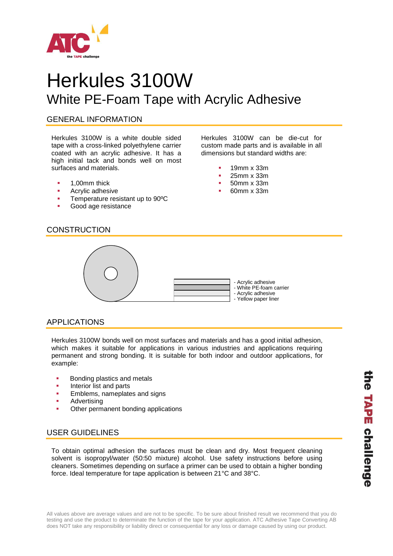

# Herkules 3100W White PE-Foam Tape with Acrylic Adhesive

#### GENERAL INFORMATION

Herkules 3100W is a white double sided tape with a cross-linked polyethylene carrier coated with an acrylic adhesive. It has a high initial tack and bonds well on most surfaces and materials.

- **1,00mm thick**
- Acrylic adhesive
- **Temperature resistant up to 90°C**
- Good age resistance

Herkules 3100W can be die-cut for custom made parts and is available in all dimensions but standard widths are:

- 19mm x 33m
- 25mm x 33m
- 50mm x 33m
- 60mm x 33m



## APPLICATIONS

Herkules 3100W bonds well on most surfaces and materials and has a good initial adhesion, which makes it suitable for applications in various industries and applications requiring permanent and strong bonding. It is suitable for both indoor and outdoor applications, for example:

- Bonding plastics and metals
- Interior list and parts
- Emblems, nameplates and signs
- Advertising
- Other permanent bonding applications

## USER GUIDELINES

To obtain optimal adhesion the surfaces must be clean and dry. Most frequent cleaning solvent is isopropyl/water (50:50 mixture) alcohol. Use safety instructions before using cleaners. Sometimes depending on surface a primer can be used to obtain a higher bonding force. Ideal temperature for tape application is between 21°C and 38°C.